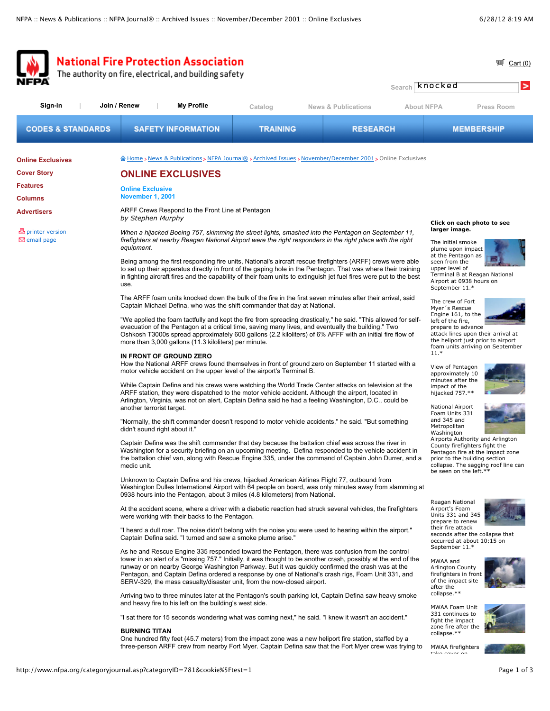|                                                                                                    |                                                                                                                                                                                                                                                                                                                                                                                                                                                                                                                                                                                                                                                                                                                                                                                                                                                                                                                         | <b>National Fire Protection Association</b><br>The authority on fire, electrical, and building safety |                 |                                                                                                             |                                                                                                                                                                  | ⊞<br>Cart $(0)$<br>Search <b>Knocked</b><br>>                                                                                                                                                                                                                                                       |  |
|----------------------------------------------------------------------------------------------------|-------------------------------------------------------------------------------------------------------------------------------------------------------------------------------------------------------------------------------------------------------------------------------------------------------------------------------------------------------------------------------------------------------------------------------------------------------------------------------------------------------------------------------------------------------------------------------------------------------------------------------------------------------------------------------------------------------------------------------------------------------------------------------------------------------------------------------------------------------------------------------------------------------------------------|-------------------------------------------------------------------------------------------------------|-----------------|-------------------------------------------------------------------------------------------------------------|------------------------------------------------------------------------------------------------------------------------------------------------------------------|-----------------------------------------------------------------------------------------------------------------------------------------------------------------------------------------------------------------------------------------------------------------------------------------------------|--|
| Sign-in                                                                                            | Join / Renew                                                                                                                                                                                                                                                                                                                                                                                                                                                                                                                                                                                                                                                                                                                                                                                                                                                                                                            | <b>My Profile</b>                                                                                     | Catalog         | <b>News &amp; Publications</b>                                                                              | <b>About NFPA</b>                                                                                                                                                | <b>Press Room</b>                                                                                                                                                                                                                                                                                   |  |
| <b>CODES &amp; STANDARDS</b>                                                                       |                                                                                                                                                                                                                                                                                                                                                                                                                                                                                                                                                                                                                                                                                                                                                                                                                                                                                                                         | <b>SAFETY INFORMATION</b>                                                                             | <b>TRAINING</b> |                                                                                                             | <b>RESEARCH</b>                                                                                                                                                  | <b>MEMBERSHIP</b>                                                                                                                                                                                                                                                                                   |  |
| <b>Online Exclusives</b><br><b>Cover Story</b><br>Features<br><b>Columns</b><br><b>Advertisers</b> | <b>Online Exclusive</b><br><b>November 1, 2001</b>                                                                                                                                                                                                                                                                                                                                                                                                                                                                                                                                                                                                                                                                                                                                                                                                                                                                      | <b>ONLINE EXCLUSIVES</b><br>ARFF Crews Respond to the Front Line at Pentagon                          |                 | m Home > News & Publications > NFPA Journal® > Archived Issues > November/December 2001 > Online Exclusives |                                                                                                                                                                  |                                                                                                                                                                                                                                                                                                     |  |
| 巴 printer version<br>$\boxdot$ email page                                                          | by Stephen Murphy<br>When a hijacked Boeing 757, skimming the street lights, smashed into the Pentagon on September 11,<br>firefighters at nearby Reagan National Airport were the right responders in the right place with the right<br>equipment.<br>Being among the first responding fire units, National's aircraft rescue firefighters (ARFF) crews were able<br>to set up their apparatus directly in front of the gaping hole in the Pentagon. That was where their training<br>in fighting aircraft fires and the capability of their foam units to extinguish jet fuel fires were put to the best<br>use.                                                                                                                                                                                                                                                                                                      |                                                                                                       |                 |                                                                                                             |                                                                                                                                                                  | Click on each photo to see<br>larger image.<br>The initial smoke<br>plume upon impact<br>at the Pentagon as<br>seen from the<br>upper level of<br>Terminal B at Reagan National<br>Airport at 0938 hours on<br>September 11.*                                                                       |  |
|                                                                                                    | The ARFF foam units knocked down the bulk of the fire in the first seven minutes after their arrival, said<br>Captain Michael Defina, who was the shift commander that day at National.<br>"We applied the foam tactfully and kept the fire from spreading drastically," he said. "This allowed for self-<br>evacuation of the Pentagon at a critical time, saving many lives, and eventually the building." Two<br>Oshkosh T3000s spread approximately 600 gallons (2.2 kiloliters) of 6% AFFF with an initial fire flow of<br>more than 3,000 gallons (11.3 kiloliters) per minute.                                                                                                                                                                                                                                                                                                                                   |                                                                                                       |                 |                                                                                                             |                                                                                                                                                                  | The crew of Fort<br>Myer's Rescue<br>Engine 161, to the<br>left of the fire,<br>prepare to advance<br>attack lines upon their arrival at<br>the heliport just prior to airport<br>foam units arriving on September                                                                                  |  |
|                                                                                                    | IN FRONT OF GROUND ZERO<br>How the National ARFF crews found themselves in front of ground zero on September 11 started with a<br>motor vehicle accident on the upper level of the airport's Terminal B.<br>While Captain Defina and his crews were watching the World Trade Center attacks on television at the<br>ARFF station, they were dispatched to the motor vehicle accident. Although the airport, located in<br>Arlington, Virginia, was not on alert, Captain Defina said he had a feeling Washington, D.C., could be<br>another terrorist target.<br>"Normally, the shift commander doesn't respond to motor vehicle accidents," he said. "But something"<br>didn't sound right about it."<br>Captain Defina was the shift commander that day because the battalion chief was across the river in<br>Washington for a security briefing on an upcoming meeting. Defina responded to the vehicle accident in |                                                                                                       |                 |                                                                                                             |                                                                                                                                                                  | $11.*$<br>View of Pentagon<br>approximately 10<br>minutes after the<br>impact of the<br>hijacked 757.**<br>National Airport<br>Foam Units 331<br>and 345 and<br>Metropolitan<br>Washington<br>Airports Authority and Arlington<br>County firefighters fight the<br>Pentagon fire at the impact zone |  |
|                                                                                                    | the battalion chief van, along with Rescue Engine 335, under the command of Captain John Durrer, and a<br>medic unit.<br>Unknown to Captain Defina and his crews, hijacked American Airlines Flight 77, outbound from<br>Washington Dulles International Airport with 64 people on board, was only minutes away from slamming at<br>0938 hours into the Pentagon, about 3 miles (4.8 kilometers) from National.                                                                                                                                                                                                                                                                                                                                                                                                                                                                                                         |                                                                                                       |                 |                                                                                                             |                                                                                                                                                                  | prior to the building section<br>collapse. The sagging roof line can<br>be seen on the left.**                                                                                                                                                                                                      |  |
|                                                                                                    | At the accident scene, where a driver with a diabetic reaction had struck several vehicles, the firefighters<br>were working with their backs to the Pentagon.<br>"I heard a dull roar. The noise didn't belong with the noise you were used to hearing within the airport,"<br>Captain Defina said. "I turned and saw a smoke plume arise."                                                                                                                                                                                                                                                                                                                                                                                                                                                                                                                                                                            |                                                                                                       |                 |                                                                                                             | Reagan National<br>Airport's Foam<br>Units 331 and 345<br>prepare to renew<br>their fire attack<br>seconds after the collapse that<br>occurred at about 10:15 on |                                                                                                                                                                                                                                                                                                     |  |
|                                                                                                    | As he and Rescue Engine 335 responded toward the Pentagon, there was confusion from the control<br>tower in an alert of a "missing 757." Initially, it was thought to be another crash, possibly at the end of the<br>runway or on nearby George Washington Parkway. But it was quickly confirmed the crash was at the<br>Pentagon, and Captain Defina ordered a response by one of National's crash rigs, Foam Unit 331, and<br>SERV-329, the mass casualty/disaster unit, from the now-closed airport.                                                                                                                                                                                                                                                                                                                                                                                                                |                                                                                                       |                 |                                                                                                             |                                                                                                                                                                  | September 11.*<br>MWAA and<br><b>Arlington County</b><br>firefighters in front<br>of the impact site<br>after the<br>collapse.**                                                                                                                                                                    |  |
|                                                                                                    | Arriving two to three minutes later at the Pentagon's south parking lot, Captain Defina saw heavy smoke<br>and heavy fire to his left on the building's west side.<br>"I sat there for 15 seconds wondering what was coming next," he said. "I knew it wasn't an accident."                                                                                                                                                                                                                                                                                                                                                                                                                                                                                                                                                                                                                                             |                                                                                                       |                 |                                                                                                             |                                                                                                                                                                  | MWAA Foam Unit<br>331 continues to<br>fight the impact<br>zone fire after the                                                                                                                                                                                                                       |  |
|                                                                                                    | <b>BURNING TITAN</b><br>One hundred fifty feet (45.7 meters) from the impact zone was a new heliport fire station, staffed by a<br>three-person ARFF crew from nearby Fort Myer. Captain Defina saw that the Fort Myer crew was trying to                                                                                                                                                                                                                                                                                                                                                                                                                                                                                                                                                                                                                                                                               |                                                                                                       |                 |                                                                                                             |                                                                                                                                                                  | collapse.**<br>MWAA firefighters<br>taka couar an                                                                                                                                                                                                                                                   |  |
| http://www.nfpa.org/categoryjournal.asp?categoryID=781&cookie%5Ftest=1                             |                                                                                                                                                                                                                                                                                                                                                                                                                                                                                                                                                                                                                                                                                                                                                                                                                                                                                                                         |                                                                                                       |                 |                                                                                                             |                                                                                                                                                                  | Page 1 of 3                                                                                                                                                                                                                                                                                         |  |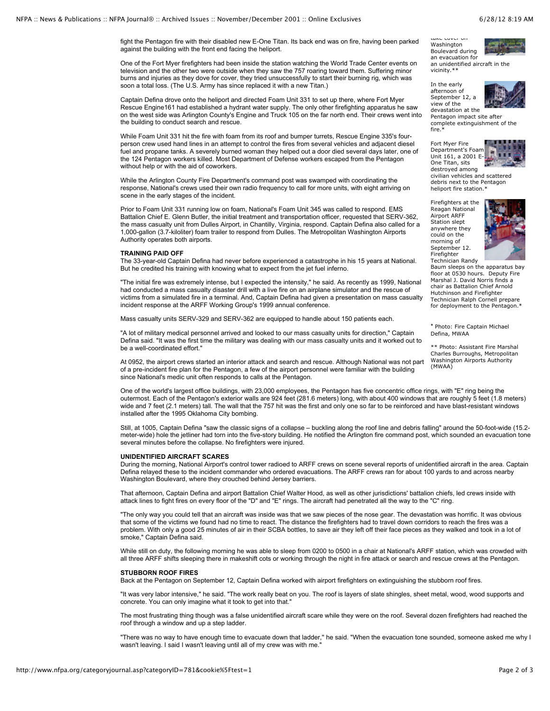take cover on Washington Boulevard during an evacuation for an unidentified aircraft in the vicinity.\*\*

In the early afternoon of September 12, a view of the devastation at the

Pentagon impact site after complete extinguishment of the fire.\*

Fort Myer Fire Department's Foam Unit 161, a 2001 E-One Titan, sits



destroyed among civilian vehicles and scattered debris next to the Pentagon heliport fire station.\*

Firefighters at the Reagan National Airport ARFF Station slept anywhere they could on the morning of September 12. Firefighter



Technician Randy Baum sleeps on the apparatus bay floor at 0530 hours. Deputy Fire Marshal J. David Norris finds a chair as Battalion Chief Arnold Hutchinson and Firefighter Technician Ralph Cornell prepare for deployment to the Pentagon.\*

\* Photo: Fire Captain Michael Defina, MWAA

\*\* Photo: Assistant Fire Marshal Charles Burroughs, Metropolitan Washington Airports Authority (MWAA)

fight the Pentagon fire with their disabled new E-One Titan. Its back end was on fire, having been parked against the building with the front end facing the heliport.

One of the Fort Myer firefighters had been inside the station watching the World Trade Center events on television and the other two were outside when they saw the 757 roaring toward them. Suffering minor burns and injuries as they dove for cover, they tried unsuccessfully to start their burning rig, which was soon a total loss. (The U.S. Army has since replaced it with a new Titan.)

Captain Defina drove onto the heliport and directed Foam Unit 331 to set up there, where Fort Myer Rescue Engine161 had established a hydrant water supply. The only other firefighting apparatus he saw on the west side was Arlington County's Engine and Truck 105 on the far north end. Their crews went into the building to conduct search and rescue.

While Foam Unit 331 hit the fire with foam from its roof and bumper turrets, Rescue Engine 335's fourperson crew used hand lines in an attempt to control the fires from several vehicles and adjacent diesel fuel and propane tanks. A severely burned woman they helped out a door died several days later, one of the 124 Pentagon workers killed. Most Department of Defense workers escaped from the Pentagon without help or with the aid of coworkers.

While the Arlington County Fire Department's command post was swamped with coordinating the response, National's crews used their own radio frequency to call for more units, with eight arriving on scene in the early stages of the incident.

Prior to Foam Unit 331 running low on foam, National's Foam Unit 345 was called to respond. EMS Battalion Chief E. Glenn Butler, the initial treatment and transportation officer, requested that SERV-362, the mass casualty unit from Dulles Airport, in Chantilly, Virginia, respond. Captain Defina also called for a 1,000-gallon (3.7-kiloliter) foam trailer to respond from Dulles. The Metropolitan Washington Airports Authority operates both airports.

## **TRAINING PAID OFF**

The 33-year-old Captain Defina had never before experienced a catastrophe in his 15 years at National. But he credited his training with knowing what to expect from the jet fuel inferno.

"The initial fire was extremely intense, but I expected the intensity," he said. As recently as 1999, National had conducted a mass casualty disaster drill with a live fire on an airplane simulator and the rescue of victims from a simulated fire in a terminal. And, Captain Defina had given a presentation on mass casualty incident response at the ARFF Working Group's 1999 annual conference.

Mass casualty units SERV-329 and SERV-362 are equipped to handle about 150 patients each.

"A lot of military medical personnel arrived and looked to our mass casualty units for direction," Captain Defina said. "It was the first time the military was dealing with our mass casualty units and it worked out to be a well-coordinated effort."

At 0952, the airport crews started an interior attack and search and rescue. Although National was not part of a pre-incident fire plan for the Pentagon, a few of the airport personnel were familiar with the building since National's medic unit often responds to calls at the Pentagon.

One of the world's largest office buildings, with 23,000 employees, the Pentagon has five concentric office rings, with "E" ring being the outermost. Each of the Pentagon's exterior walls are 924 feet (281.6 meters) long, with about 400 windows that are roughly 5 feet (1.8 meters) wide and 7 feet (2.1 meters) tall. The wall that the 757 hit was the first and only one so far to be reinforced and have blast-resistant windows installed after the 1995 Oklahoma City bombing.

Still, at 1005, Captain Defina "saw the classic signs of a collapse – buckling along the roof line and debris falling" around the 50-foot-wide (15.2 meter-wide) hole the jetliner had torn into the five-story building. He notified the Arlington fire command post, which sounded an evacuation tone several minutes before the collapse. No firefighters were injured.

## **UNIDENTIFIED AIRCRAFT SCARES**

During the morning, National Airport's control tower radioed to ARFF crews on scene several reports of unidentified aircraft in the area. Captain Defina relayed these to the incident commander who ordered evacuations. The ARFF crews ran for about 100 yards to and across nearby Washington Boulevard, where they crouched behind Jersey barriers.

That afternoon, Captain Defina and airport Battalion Chief Walter Hood, as well as other jurisdictions' battalion chiefs, led crews inside with attack lines to fight fires on every floor of the "D" and "E" rings. The aircraft had penetrated all the way to the "C" ring.

"The only way you could tell that an aircraft was inside was that we saw pieces of the nose gear. The devastation was horrific. It was obvious that some of the victims we found had no time to react. The distance the firefighters had to travel down corridors to reach the fires was a problem. With only a good 25 minutes of air in their SCBA bottles, to save air they left off their face pieces as they walked and took in a lot of smoke," Captain Defina said.

While still on duty, the following morning he was able to sleep from 0200 to 0500 in a chair at National's ARFF station, which was crowded with all three ARFF shifts sleeping there in makeshift cots or working through the night in fire attack or search and rescue crews at the Pentagon.

## **STUBBORN ROOF FIRES**

Back at the Pentagon on September 12, Captain Defina worked with airport firefighters on extinguishing the stubborn roof fires.

"It was very labor intensive," he said. "The work really beat on you. The roof is layers of slate shingles, sheet metal, wood, wood supports and concrete. You can only imagine what it took to get into that."

The most frustrating thing though was a false unidentified aircraft scare while they were on the roof. Several dozen firefighters had reached the roof through a window and up a step ladder.

"There was no way to have enough time to evacuate down that ladder,'' he said. "When the evacuation tone sounded, someone asked me why I wasn't leaving. I said I wasn't leaving until all of my crew was with me.'